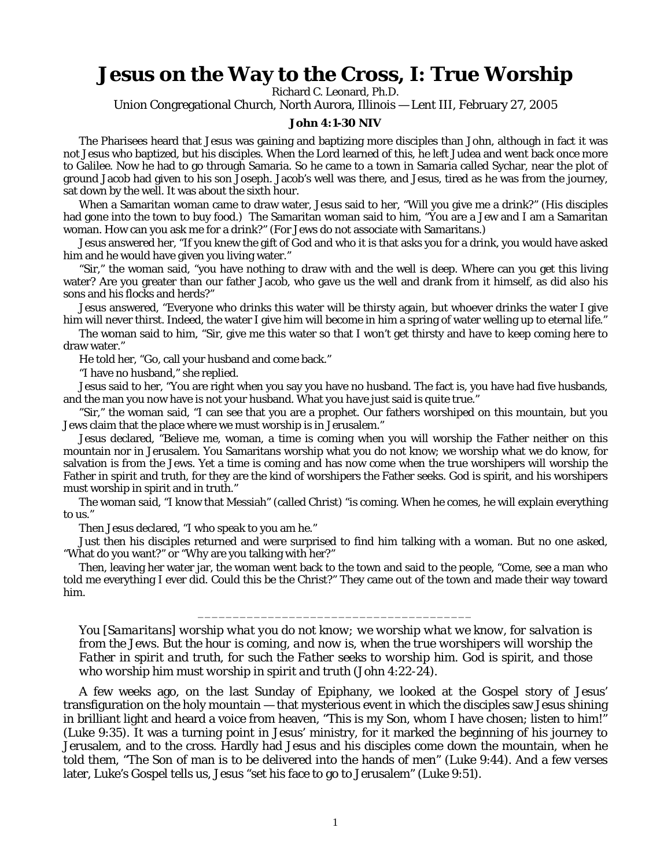## **Jesus on the Way to the Cross, I: True Worship**

Richard C. Leonard, Ph.D.

Union Congregational Church, North Aurora, Illinois — Lent III, February 27, 2005

## **John 4:1-30 NIV**

The Pharisees heard that Jesus was gaining and baptizing more disciples than John, although in fact it was not Jesus who baptized, but his disciples. When the Lord learned of this, he left Judea and went back once more to Galilee. Now he had to go through Samaria. So he came to a town in Samaria called Sychar, near the plot of ground Jacob had given to his son Joseph. Jacob's well was there, and Jesus, tired as he was from the journey, sat down by the well. It was about the sixth hour.

When a Samaritan woman came to draw water, Jesus said to her, "Will you give me a drink?" (His disciples had gone into the town to buy food.) The Samaritan woman said to him, "You are a Jew and I am a Samaritan woman. How can you ask me for a drink?" (For Jews do not associate with Samaritans.)

Jesus answered her, "If you knew the gift of God and who it is that asks you for a drink, you would have asked him and he would have given you living water."

"Sir," the woman said, "you have nothing to draw with and the well is deep. Where can you get this living water? Are you greater than our father Jacob, who gave us the well and drank from it himself, as did also his sons and his flocks and herds?"

Jesus answered, "Everyone who drinks this water will be thirsty again, but whoever drinks the water I give him will never thirst. Indeed, the water I give him will become in him a spring of water welling up to eternal life."

The woman said to him, "Sir, give me this water so that I won't get thirsty and have to keep coming here to draw water."

He told her, "Go, call your husband and come back."

"I have no husband," she replied.

Jesus said to her, "You are right when you say you have no husband. The fact is, you have had five husbands, and the man you now have is not your husband. What you have just said is quite true."

"Sir," the woman said, "I can see that you are a prophet. Our fathers worshiped on this mountain, but you Jews claim that the place where we must worship is in Jerusalem."

Jesus declared, "Believe me, woman, a time is coming when you will worship the Father neither on this mountain nor in Jerusalem. You Samaritans worship what you do not know; we worship what we do know, for salvation is from the Jews. Yet a time is coming and has now come when the true worshipers will worship the Father in spirit and truth, for they are the kind of worshipers the Father seeks. God is spirit, and his worshipers must worship in spirit and in truth."

The woman said, "I know that Messiah" (called Christ) "is coming. When he comes, he will explain everything to us."

Then Jesus declared, "I who speak to you am he."

Just then his disciples returned and were surprised to find him talking with a woman. But no one asked, "What do you want?" or "Why are you talking with her?"

Then, leaving her water jar, the woman went back to the town and said to the people, "Come, see a man who told me everything I ever did. Could this be the Christ?" They came out of the town and made their way toward him.

\_\_\_\_\_\_\_\_\_\_\_\_\_\_\_\_\_\_\_\_\_\_\_\_\_\_\_\_\_\_\_\_\_\_\_\_\_\_\_

*You [Samaritans] worship what you do not know; we worship what we know, for salvation is from the Jews. But the hour is coming, and now is, when the true worshipers will worship the Father in spirit and truth, for such the Father seeks to worship him. God is spirit, and those who worship him must worship in spirit and truth* (John 4:22-24).

A few weeks ago, on the last Sunday of Epiphany, we looked at the Gospel story of Jesus' transfiguration on the holy mountain — that mysterious event in which the disciples saw Jesus shining in brilliant light and heard a voice from heaven, "This is my Son, whom I have chosen; listen to him!" (Luke 9:35). It was a turning point in Jesus' ministry, for it marked the beginning of his journey to Jerusalem, and to the cross. Hardly had Jesus and his disciples come down the mountain, when he told them, "The Son of man is to be delivered into the hands of men" (Luke 9:44). And a few verses later, Luke's Gospel tells us, Jesus "set his face to go to Jerusalem" (Luke 9:51).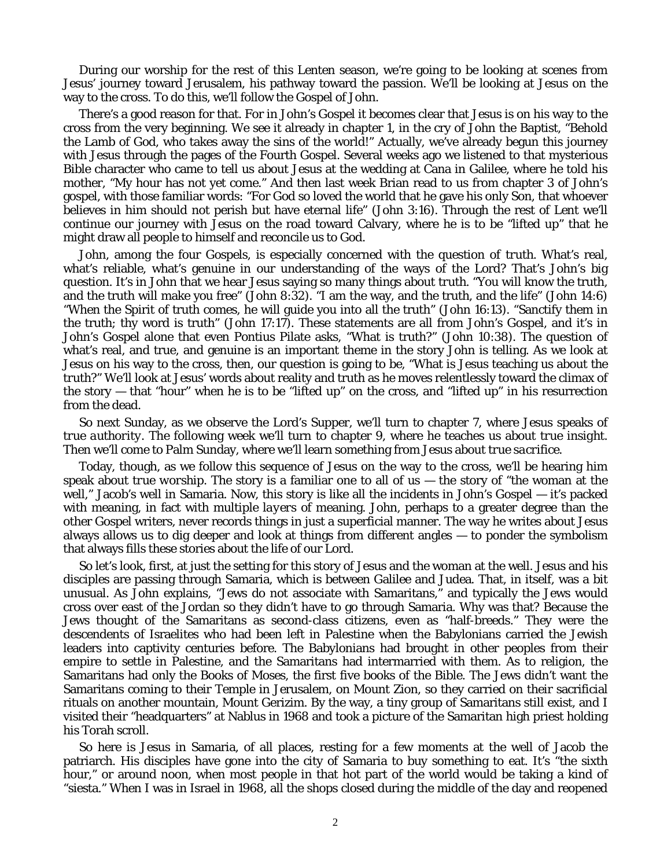During our worship for the rest of this Lenten season, we're going to be looking at scenes from Jesus' journey toward Jerusalem, his pathway toward the passion. We'll be looking at Jesus on the way to the cross. To do this, we'll follow the Gospel of John.

There's a good reason for that. For in John's Gospel it becomes clear that Jesus is on his way to the cross from the very beginning. We see it already in chapter 1, in the cry of John the Baptist, "Behold the Lamb of God, who takes away the sins of the world!" Actually, we've already begun this journey with Jesus through the pages of the Fourth Gospel. Several weeks ago we listened to that mysterious Bible character who came to tell us about Jesus at the wedding at Cana in Galilee, where he told his mother, "My hour has not yet come." And then last week Brian read to us from chapter 3 of John's gospel, with those familiar words: "For God so loved the world that he gave his only Son, that whoever believes in him should not perish but have eternal life" (John 3:16). Through the rest of Lent we'll continue our journey with Jesus on the road toward Calvary, where he is to be "lifted up" that he might draw all people to himself and reconcile us to God.

John, among the four Gospels, is especially concerned with the question of *truth.* What's real, what's reliable, what's genuine in our understanding of the ways of the Lord? That's John's big question. It's in John that we hear Jesus saying so many things about *truth.* "You will know the truth, and the truth will make you free" (John 8:32). "I am the way, and the truth, and the life" (John 14:6) "When the Spirit of truth comes, he will guide you into all the truth" (John 16:13). "Sanctify them in the truth; thy word is truth" (John 17:17). These statements are all from John's Gospel, and it's in John's Gospel alone that even Pontius Pilate asks, "What is truth?" (John 10:38). The question of what's real, and true, and genuine is an important theme in the story John is telling. As we look at Jesus on his way to the cross, then, our question is going to be, "What is Jesus teaching us about *the truth?*" We'll look at Jesus' words about reality and truth as he moves relentlessly toward the climax of the story — that "hour" when he is to be "lifted up" on the cross, and "lifted up" in his resurrection from the dead.

So next Sunday, as we observe the Lord's Supper, we'll turn to chapter 7, where Jesus speaks of *true authority*. The following week we'll turn to chapter 9, where he teaches us about *true insight*. Then we'll come to Palm Sunday, where we'll learn something from Jesus about *true sacrifice*.

Today, though, as we follow this sequence of Jesus on the way to the cross, we'll be hearing him speak about *true worship.* The story is a familiar one to all of us — the story of "the woman at the well," Jacob's well in Samaria. Now, this story is like all the incidents in John's Gospel — it's packed with meaning, in fact with *multiple layers* of meaning. John, perhaps to a greater degree than the other Gospel writers, never records things in just a superficial manner. The way he writes about Jesus always allows us to dig deeper and look at things from different angles — to ponder the symbolism that always fills these stories about the life of our Lord.

So let's look, first, at just the setting for this story of Jesus and the woman at the well. Jesus and his disciples are passing through Samaria, which is between Galilee and Judea. That, in itself, was a bit unusual. As John explains, "Jews do not associate with Samaritans," and typically the Jews would cross over east of the Jordan so they didn't have to go through Samaria. Why was that? Because the Jews thought of the Samaritans as second-class citizens, even as "half-breeds." They were the descendents of Israelites who had been left in Palestine when the Babylonians carried the Jewish leaders into captivity centuries before. The Babylonians had brought in other peoples from their empire to settle in Palestine, and the Samaritans had intermarried with them. As to religion, the Samaritans had only the Books of Moses, the first five books of the Bible. The Jews didn't want the Samaritans coming to their Temple in Jerusalem, on Mount Zion, so they carried on their sacrificial rituals on another mountain, Mount Gerizim. By the way, a tiny group of Samaritans still exist, and I visited their "headquarters" at Nablus in 1968 and took a picture of the Samaritan high priest holding his Torah scroll.

So here is Jesus in Samaria, of all places, resting for a few moments at the well of Jacob the patriarch. His disciples have gone into the city of Samaria to buy something to eat. It's "the sixth hour," or around noon, when most people in that hot part of the world would be taking a kind of "siesta." When I was in Israel in 1968, all the shops closed during the middle of the day and reopened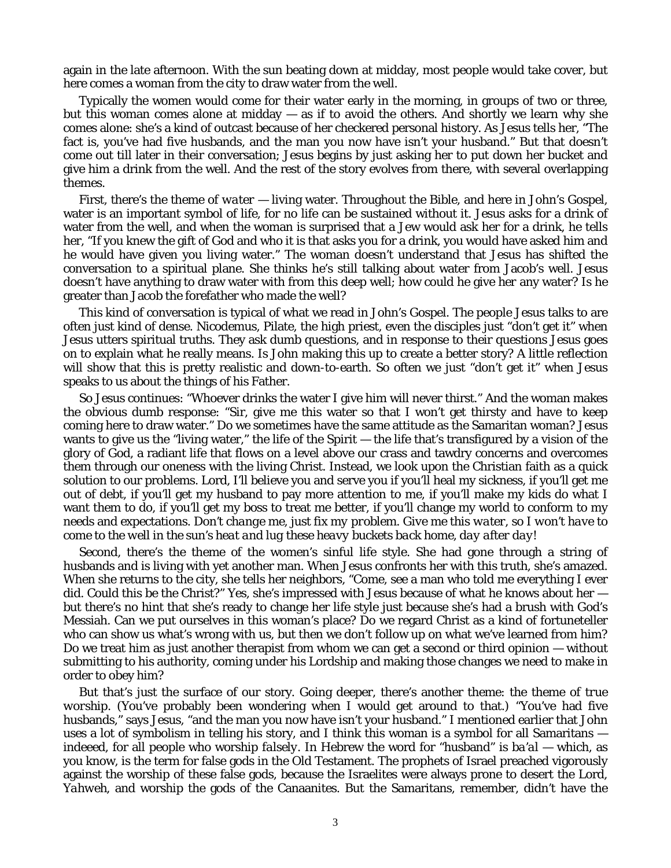again in the late afternoon. With the sun beating down at midday, most people would take cover, but here comes a woman from the city to draw water from the well.

Typically the women would come for their water early in the morning, in groups of two or three, but this woman comes alone at midday  $-$  as if to avoid the others. And shortly we learn why she comes alone: she's a kind of outcast because of her checkered personal history. As Jesus tells her, "The fact is, you've had five husbands, and the man you now have isn't your husband." But that doesn't come out till later in their conversation; Jesus begins by just asking her to put down her bucket and give him a drink from the well. And the rest of the story evolves from there, with several overlapping themes.

First, there's the theme of *water* — living water. Throughout the Bible, and here in John's Gospel, water is an important symbol of life, for no life can be sustained without it. Jesus asks for a drink of water from the well, and when the woman is surprised that a Jew would ask her for a drink, he tells her, "If you knew the gift of God and who it is that asks you for a drink, you would have asked him and he would have given you living water." The woman doesn't understand that Jesus has shifted the conversation to a spiritual plane. She thinks he's still talking about water from Jacob's well. Jesus doesn't have anything to draw water with from this deep well; how could he give *her* any water? Is he greater than Jacob the forefather who made the well?

This kind of conversation is typical of what we read in John's Gospel. The people Jesus talks to are often just kind of dense. Nicodemus, Pilate, the high priest, even the disciples just "don't get it" when Jesus utters spiritual truths. They ask dumb questions, and in response to their questions Jesus goes on to explain what he really means. Is John making this up to create a better story? A little reflection will show that this is pretty realistic and down-to-earth. So often we just "don't get it" when Jesus speaks to us about the things of his Father.

So Jesus continues: "Whoever drinks the water I give him will never thirst." And the woman makes the obvious dumb response: "Sir, give me this water so that I won't get thirsty and have to keep coming here to draw water." Do we sometimes have the same attitude as the Samaritan woman? Jesus wants to give us the "living water," the life of the Spirit — the life that's transfigured by a vision of the glory of God, a radiant life that flows on a level above our crass and tawdry concerns and overcomes them through our oneness with the living Christ. Instead, we look upon the Christian faith as a quick solution to our problems. Lord, I'll believe you and serve you if you'll heal my sickness, if you'll get me out of debt, if you'll get my husband to pay more attention to me, if you'll make my kids do what I want them to do, if you'll get my boss to treat me better, if you'll change my world to conform to my needs and expectations. *Don't change me, just fix my problem. Give me this water, so I won't have to come to the well in the sun's heat and lug these heavy buckets back home, day after day!*

Second, there's the theme of the women's sinful life style. She had gone through a string of husbands and is living with yet another man. When Jesus confronts her with this truth, she's amazed. When she returns to the city, she tells her neighbors, "Come, see a man who told me everything I ever did. Could this be the Christ?" Yes, she's impressed with Jesus because of what he knows about her but there's no hint that she's ready to change her life style just because she's had a brush with God's Messiah. Can we put ourselves in this woman's place? Do we regard Christ as a kind of fortuneteller who can show us what's wrong with us, but then we don't follow up on what we've learned from him? Do we treat him as just another therapist from whom we can get a second or third opinion — without submitting to his authority, coming under his Lordship and making those changes we need to make in order to obey him?

But that's just the surface of our story. Going deeper, there's another theme: the theme of *true worship.* (You've probably been wondering when I would get around to that.) "You've had five husbands," says Jesus, "and the man you now have isn't your husband." I mentioned earlier that John uses a lot of symbolism in telling his story, and I think this woman is a symbol for all Samaritans indeeed, for all people who worship *falsely.* In Hebrew the word for "husband" is *ba'al* — which, as you know, is the term for false gods in the Old Testament. The prophets of Israel preached vigorously against the worship of these false gods, because the Israelites were always prone to desert the Lord, *Yahweh,* and worship the gods of the Canaanites. But the Samaritans, remember, didn't have the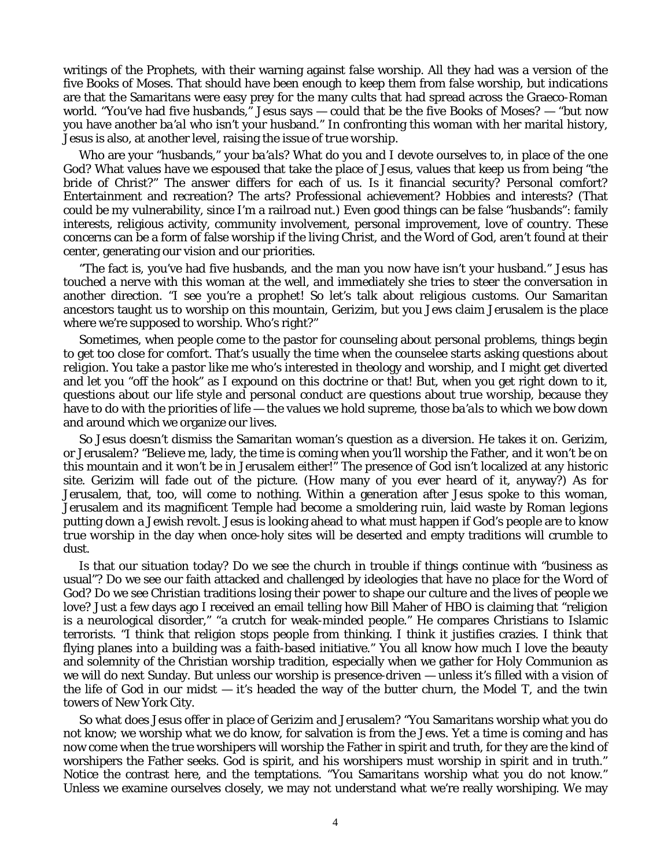writings of the Prophets, with their warning against false worship. All they had was a version of the five Books of Moses. That should have been enough to keep them from false worship, but indications are that the Samaritans were easy prey for the many cults that had spread across the Graeco-Roman world. "You've had *five husbands*," Jesus says — could that be the five Books of Moses? — "but now you have another *ba'al* who isn't your husband." In confronting this woman with her marital history, Jesus is also, at another level, raising the issue of *true worship.*

Who are your "husbands," your *ba'als?* What do you and I devote ourselves to, in place of the one God? What values have we *espoused* that take the place of Jesus, values that keep us from being "the bride of Christ?" The answer differs for each of us. Is it financial security? Personal comfort? Entertainment and recreation? The arts? Professional achievement? Hobbies and interests? (That could be *my* vulnerability, since I'm a railroad nut.) Even good things can be false "husbands": family interests, religious activity, community involvement, personal improvement, love of country. These concerns can be a form of false worship if the living Christ, and the Word of God, aren't found at their center, generating our vision and our priorities.

"The fact is, you've had five husbands, and the man you now have isn't your husband." Jesus has touched a nerve with this woman at the well, and immediately she tries to steer the conversation in another direction. "I see you're a prophet! So let's talk about religious customs. Our Samaritan ancestors taught us to worship on this mountain, Gerizim, but you Jews claim Jerusalem is the place where we're supposed to worship. Who's right?"

Sometimes, when people come to the pastor for counseling about personal problems, things begin to get too close for comfort. That's usually the time when the counselee starts asking questions about *religion*. You take a pastor like me who's interested in theology and worship, and I might get diverted and let you "off the hook" as I expound on this doctrine or that! But, when you get right down to it, questions about our life style and personal conduct *are* questions about *true worship*, because they have to do with the priorities of life — the values we hold supreme, those *ba'als* to which we bow down and around which we organize our lives.

So Jesus doesn't dismiss the Samaritan woman's question as a diversion. He takes it on. Gerizim, or Jerusalem? "Believe me, lady, the time is coming when you'll worship the Father, and it won't be on this mountain and it won't be in Jerusalem either!" The presence of God isn't localized at any historic site. Gerizim will fade out of the picture. (How many of you ever heard of it, anyway?) As for Jerusalem, that, too, will come to nothing. Within a generation after Jesus spoke to this woman, Jerusalem and its magnificent Temple had become a smoldering ruin, laid waste by Roman legions putting down a Jewish revolt. Jesus is looking ahead to what must happen if God's people are to know *true worship* in the day when once-holy sites will be deserted and empty traditions will crumble to dust.

Is that our situation today? Do we see the church in trouble if things continue with "business as usual"? Do we see our faith attacked and challenged by ideologies that have no place for the Word of God? Do we see Christian traditions losing their power to shape our culture and the lives of people we love? Just a few days ago I received an email telling how Bill Maher of HBO is claiming that "religion is a neurological disorder," "a crutch for weak-minded people." He compares Christians to Islamic terrorists. "I think that religion stops people from thinking. I think it justifies crazies. I think that flying planes into a building was a faith-based initiative." You all know how much I love the beauty and solemnity of the Christian worship tradition, especially when we gather for Holy Communion as we will do next Sunday. But unless our worship is *presence-driven* — unless it's filled with a vision of the life of God in our midst — it's headed the way of the butter churn, the Model T, and the twin towers of New York City.

So what does Jesus offer in place of Gerizim and Jerusalem? "You Samaritans worship what you do not know; we worship what we do know, for salvation is from the Jews. Yet a time is coming and has now come when the true worshipers will worship the Father in spirit and truth, for they are the kind of worshipers the Father seeks. God is spirit, and his worshipers must worship in spirit and in truth." Notice the contrast here, and the temptations. "You Samaritans worship what you do not know." Unless we examine ourselves closely, we may not understand what we're really worshiping. We may